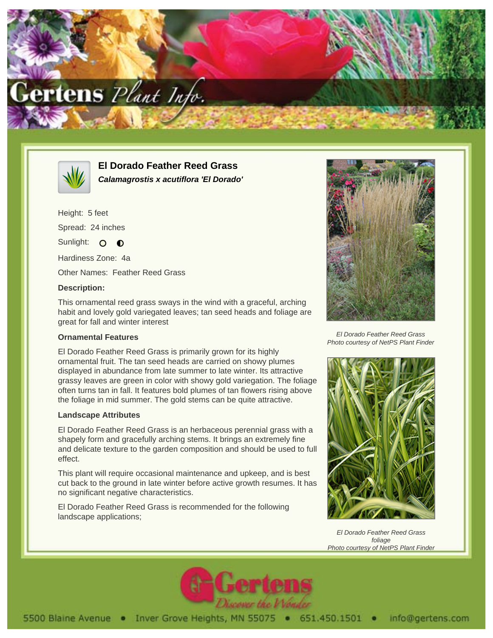



**El Dorado Feather Reed Grass Calamagrostis x acutiflora 'El Dorado'**

Height: 5 feet Spread: 24 inches Sunlight: O O Hardiness Zone: 4a

Other Names: Feather Reed Grass

## **Description:**

This ornamental reed grass sways in the wind with a graceful, arching habit and lovely gold variegated leaves; tan seed heads and foliage are great for fall and winter interest

## **Ornamental Features**

El Dorado Feather Reed Grass is primarily grown for its highly ornamental fruit. The tan seed heads are carried on showy plumes displayed in abundance from late summer to late winter. Its attractive grassy leaves are green in color with showy gold variegation. The foliage often turns tan in fall. It features bold plumes of tan flowers rising above the foliage in mid summer. The gold stems can be quite attractive.

## **Landscape Attributes**

El Dorado Feather Reed Grass is an herbaceous perennial grass with a shapely form and gracefully arching stems. It brings an extremely fine and delicate texture to the garden composition and should be used to full effect.

This plant will require occasional maintenance and upkeep, and is best cut back to the ground in late winter before active growth resumes. It has no significant negative characteristics.

El Dorado Feather Reed Grass is recommended for the following landscape applications;



El Dorado Feather Reed Grass Photo courtesy of NetPS Plant Finder



El Dorado Feather Reed Grass foliage Photo courtesy of NetPS Plant Finder